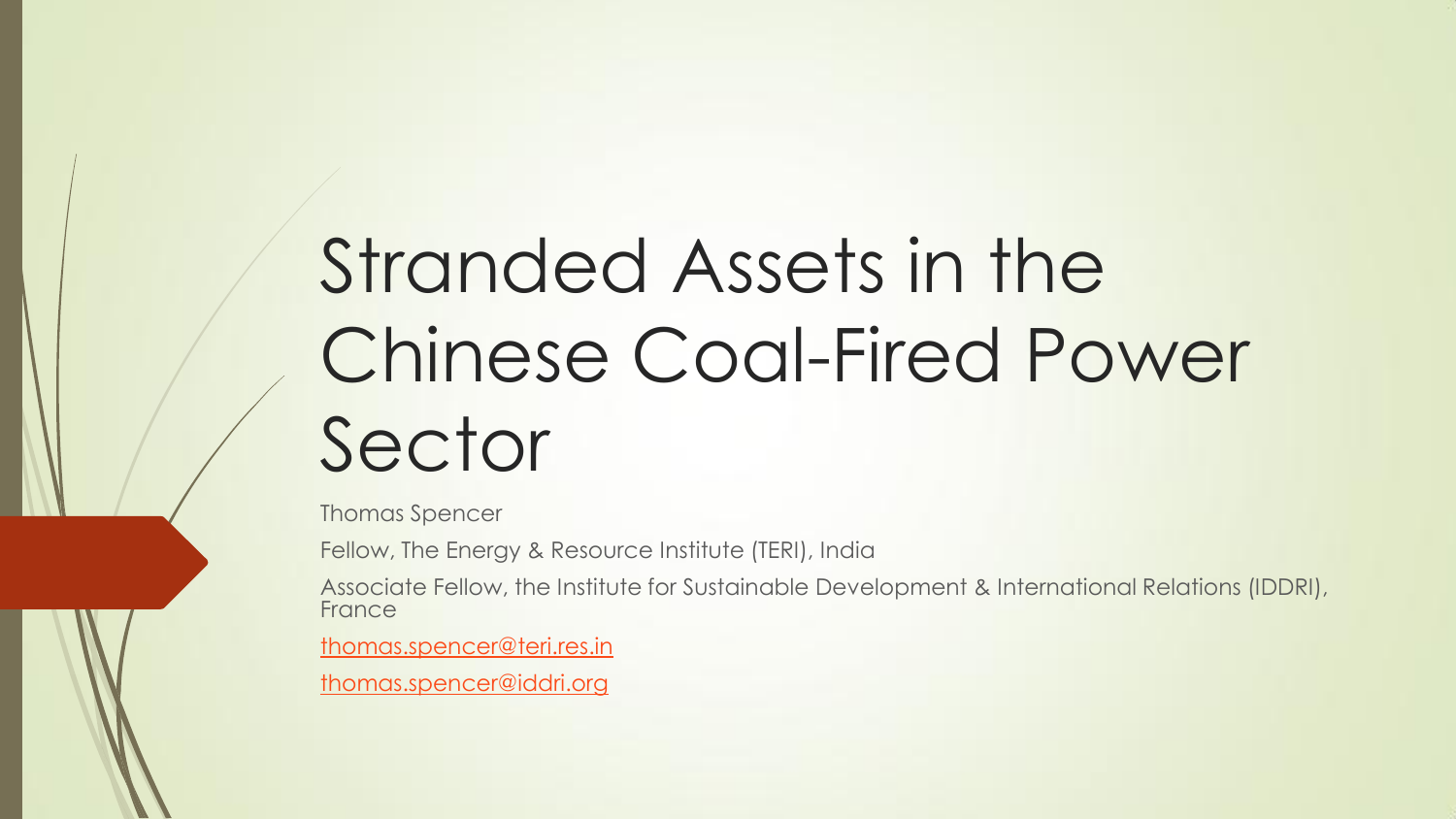# Stranded Assets in the Chinese Coal-Fired Power Sector

Thomas Spencer

Fellow, The Energy & Resource Institute (TERI), India

Associate Fellow, the Institute for Sustainable Development & International Relations (IDDRI), France

[thomas.spencer@teri.res.in](mailto:thomas.spencer@teri.res.in)

[thomas.spencer@iddri.org](mailto:thomas.spencer@iddri.org)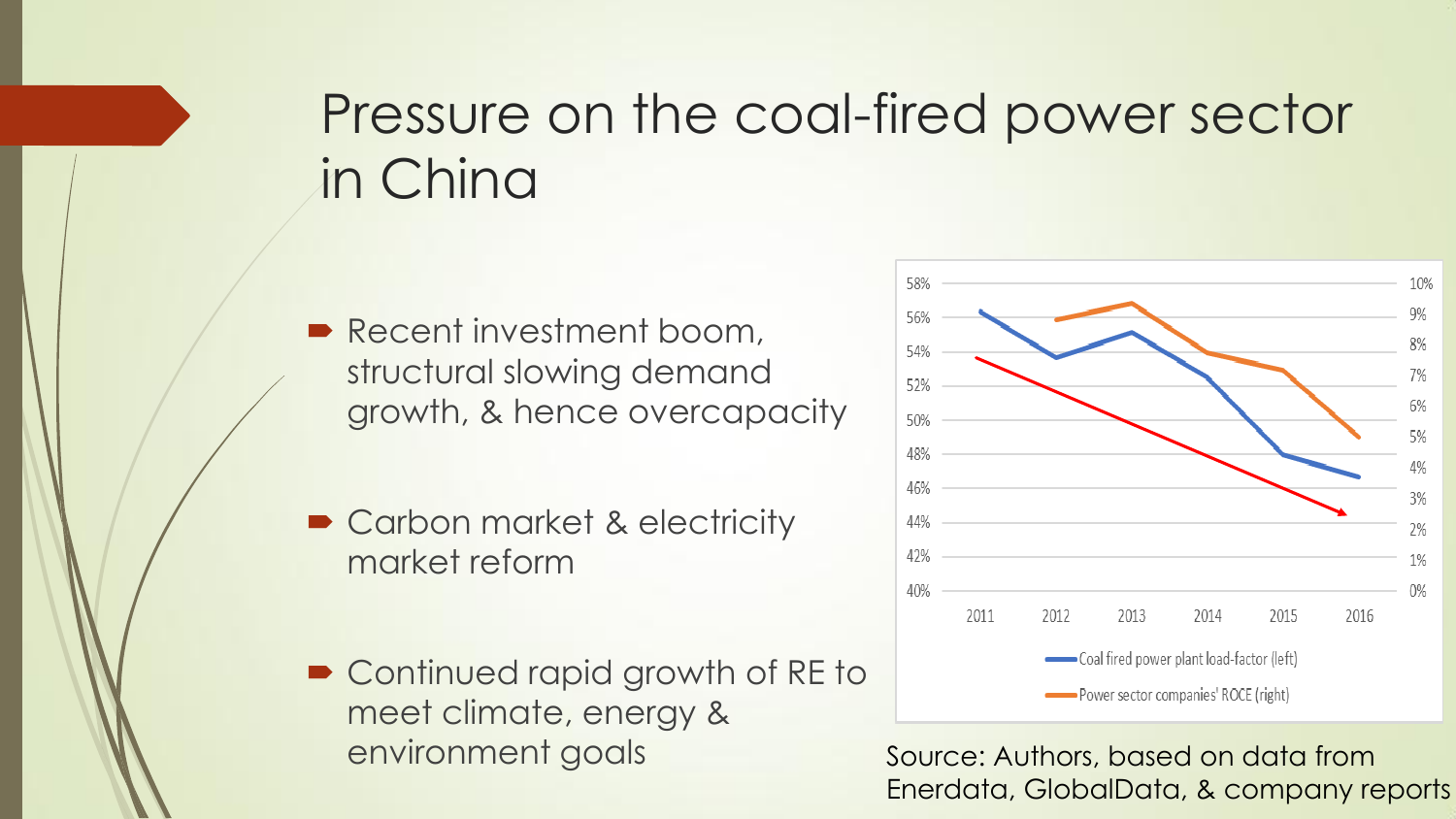#### Pressure on the coal-fired power sector in China

- Recent investment boom, structural slowing demand growth, & hence overcapacity
- Carbon market & electricity market reform
- Continued rapid growth of RE to meet climate, energy & environment goals Source: Authors, based on data from



Enerdata, GlobalData, & company reports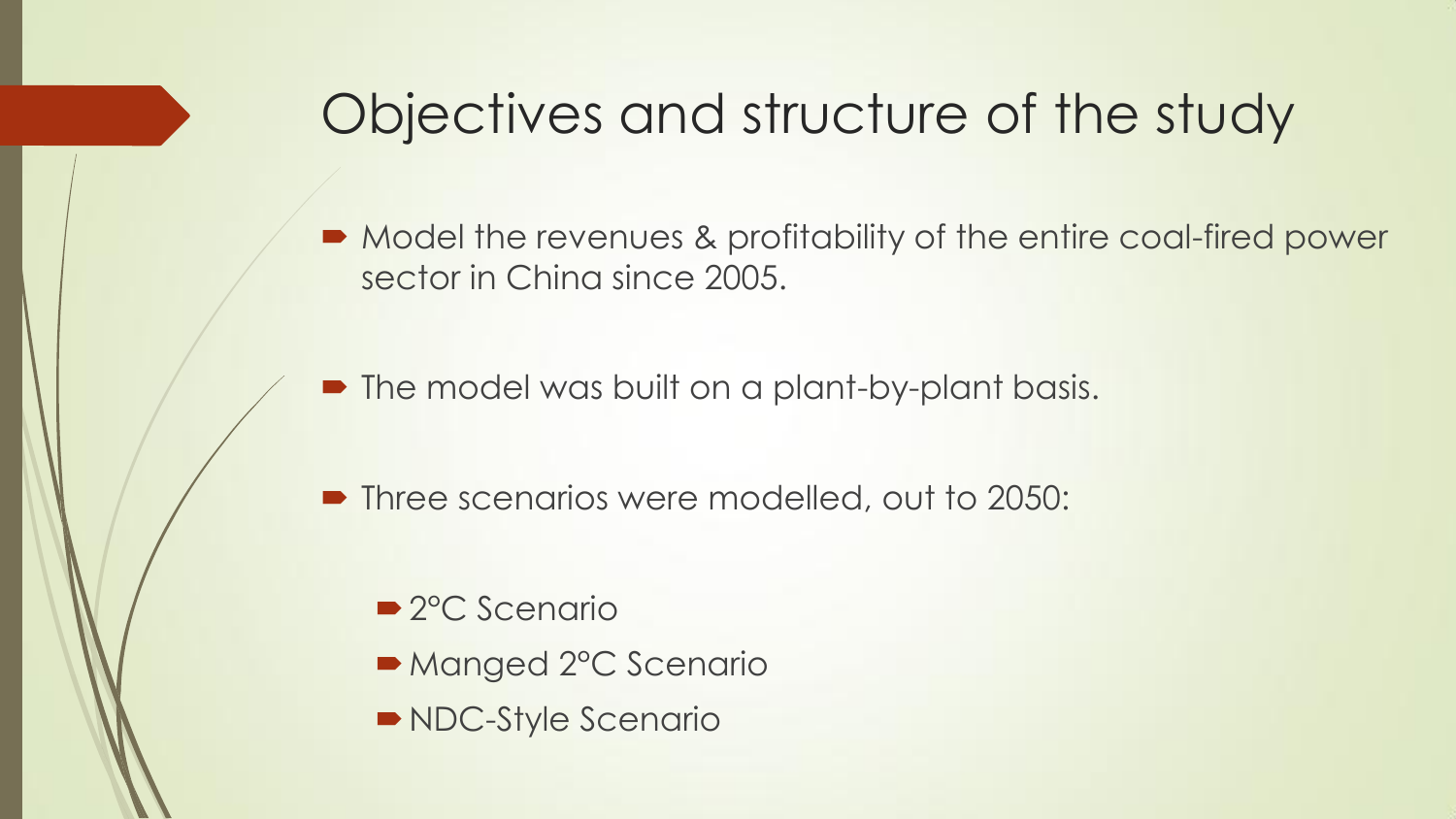#### Objectives and structure of the study

 $\blacksquare$  Model the revenues & profitability of the entire coal-fired power sector in China since 2005.

• The model was built on a plant-by-plant basis.

**• Three scenarios were modelled, out to 2050:** 

- 2°C Scenario
- Manged 2°C Scenario
- NDC-Style Scenario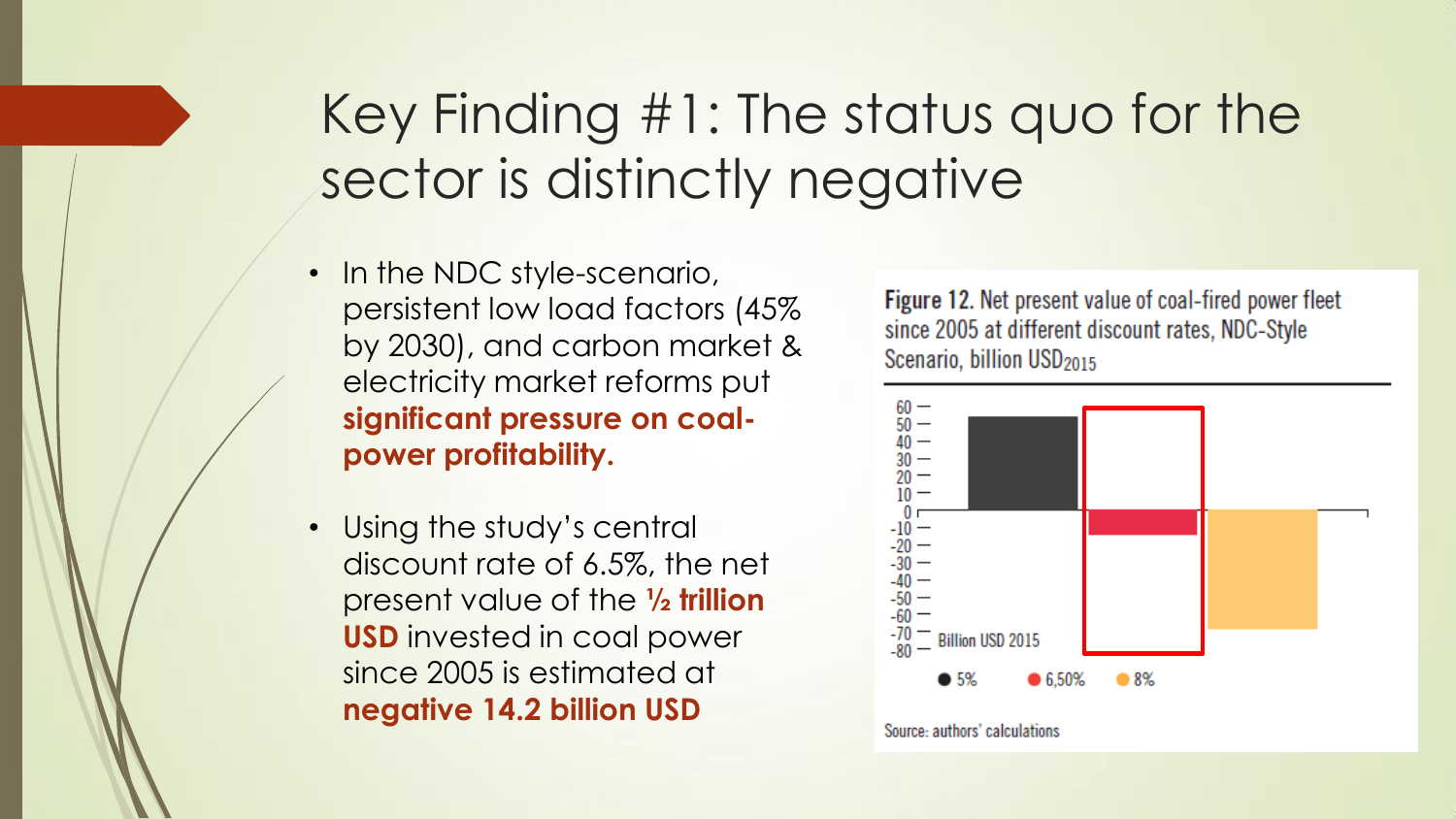## Key Finding #1: The status quo for the sector is distinctly negative

- In the NDC style-scenario, persistent low load factors (45% by 2030), and carbon market & electricity market reforms put **significant pressure on coalpower profitability.**
- Using the study's central discount rate of 6.5%, the net present value of the **½ trillion USD** invested in coal power since 2005 is estimated at **negative 14.2 billion USD**

Figure 12. Net present value of coal-fired power fleet since 2005 at different discount rates, NDC-Style Scenario, billion USD<sub>2015</sub>

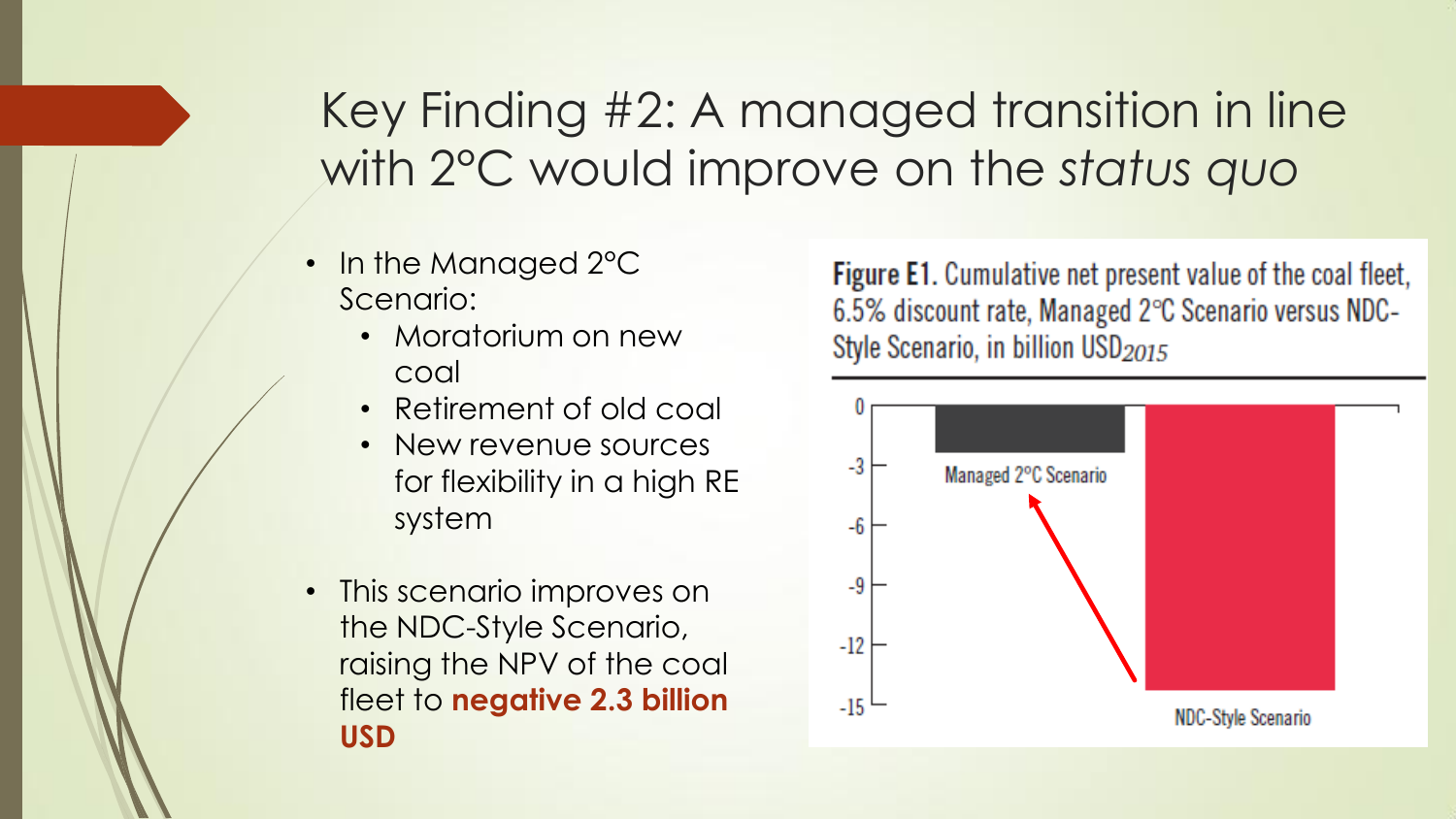#### Key Finding #2: A managed transition in line with 2°C would improve on the *status quo*

- In the Managed 2°C Scenario:
	- Moratorium on new coal
	- Retirement of old coal
	- New revenue sources for flexibility in a high RE system
- This scenario improves on the NDC-Style Scenario, raising the NPV of the coal fleet to **negative 2.3 billion USD**

Figure E1. Cumulative net present value of the coal fleet, 6.5% discount rate, Managed 2°C Scenario versus NDC-Style Scenario, in billion USD<sub>2015</sub>

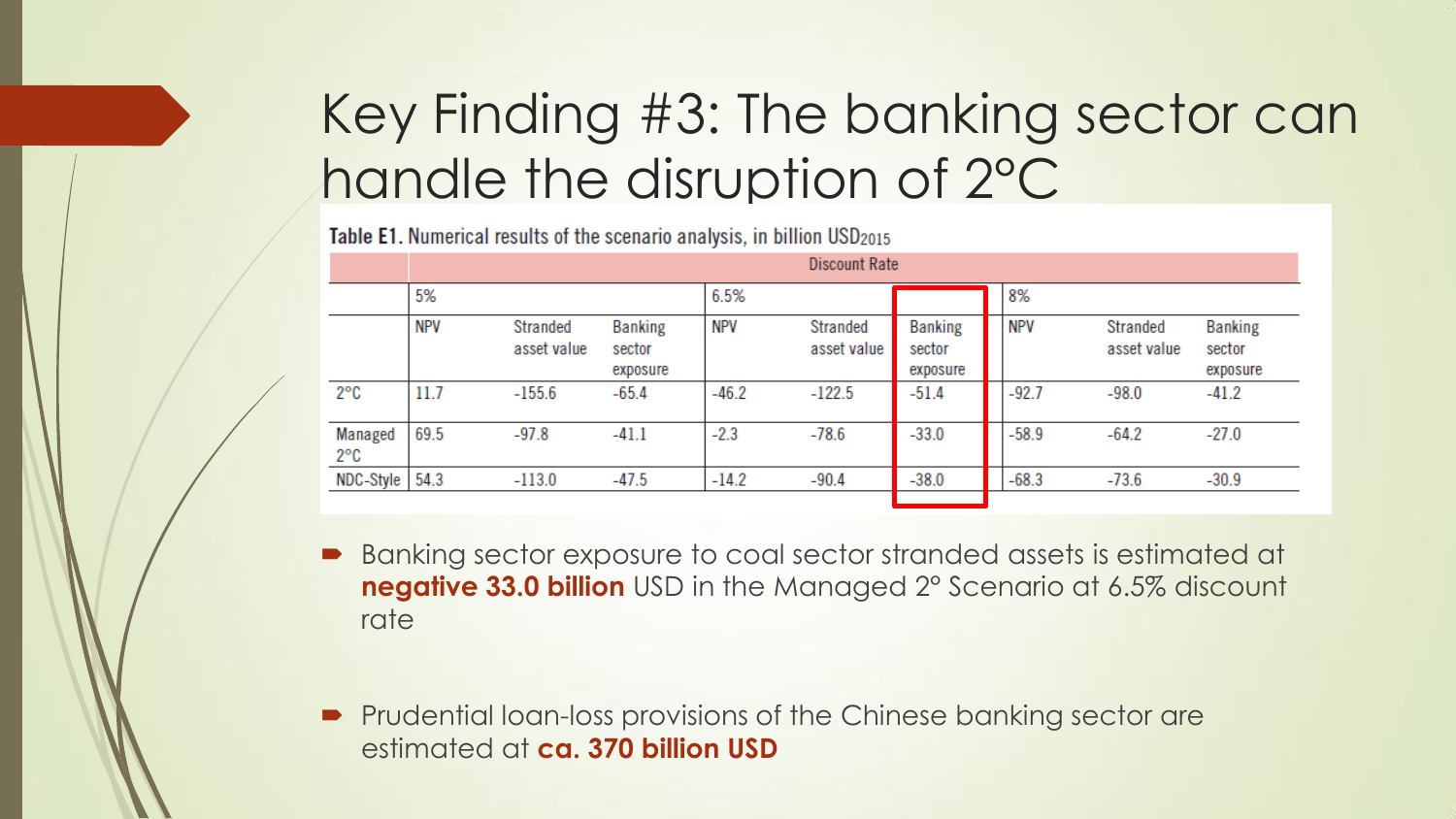## Key Finding #3: The banking sector can handle the disruption of 2°C

Table E1. Numerical results of the scenario analysis, in billion USD<sub>2015</sub>

|                | <b>Discount Rate</b> |                         |                                      |            |                         |                                      |  |            |                         |                                      |
|----------------|----------------------|-------------------------|--------------------------------------|------------|-------------------------|--------------------------------------|--|------------|-------------------------|--------------------------------------|
|                | 5%                   |                         |                                      | 6.5%       |                         |                                      |  | 8%         |                         |                                      |
|                | <b>NPV</b>           | Stranded<br>asset value | <b>Banking</b><br>sector<br>exposure | <b>NPV</b> | Stranded<br>asset value | <b>Banking</b><br>sector<br>exposure |  | <b>NPV</b> | Stranded<br>asset value | <b>Banking</b><br>sector<br>exposure |
| $2^{\circ}$ C  | 11.7                 | $-155.6$                | $-65.4$                              | $-46.2$    | $-122.5$                | $-51.4$                              |  | $-92.7$    | $-98.0$                 | $-41.2$                              |
| Managed<br>2°C | 69.5                 | $-97.8$                 | $-41.1$                              | $-2.3$     | $-78.6$                 | $-33.0$                              |  | $-58.9$    | $-64.2$                 | $-27.0$                              |
| NDC-Style      | 54.3                 | $-113.0$                | $-47.5$                              | $-14.2$    | $-90.4$                 | $-38.0$                              |  | $-68.3$    | $-73.6$                 | $-30.9$                              |

- Banking sector exposure to coal sector stranded assets is estimated at **negative 33.0 billion** USD in the Managed 2° Scenario at 6.5% discount rate
- **Prudential loan-loss provisions of the Chinese banking sector are** estimated at **ca. 370 billion USD**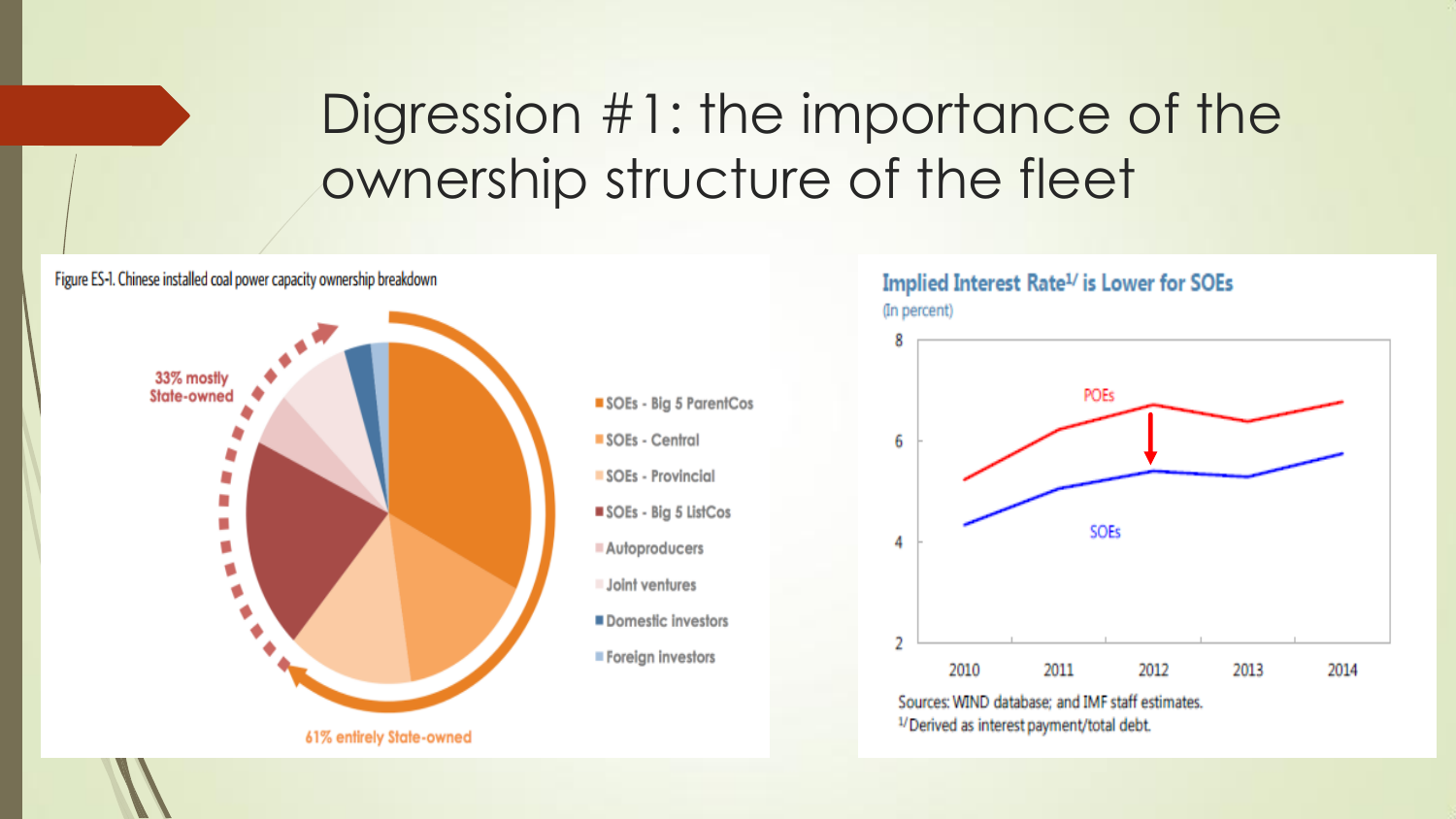## Digression #1: the importance of the ownership structure of the fleet

Figure ES-1. Chinese installed coal power capacity ownership breakdown



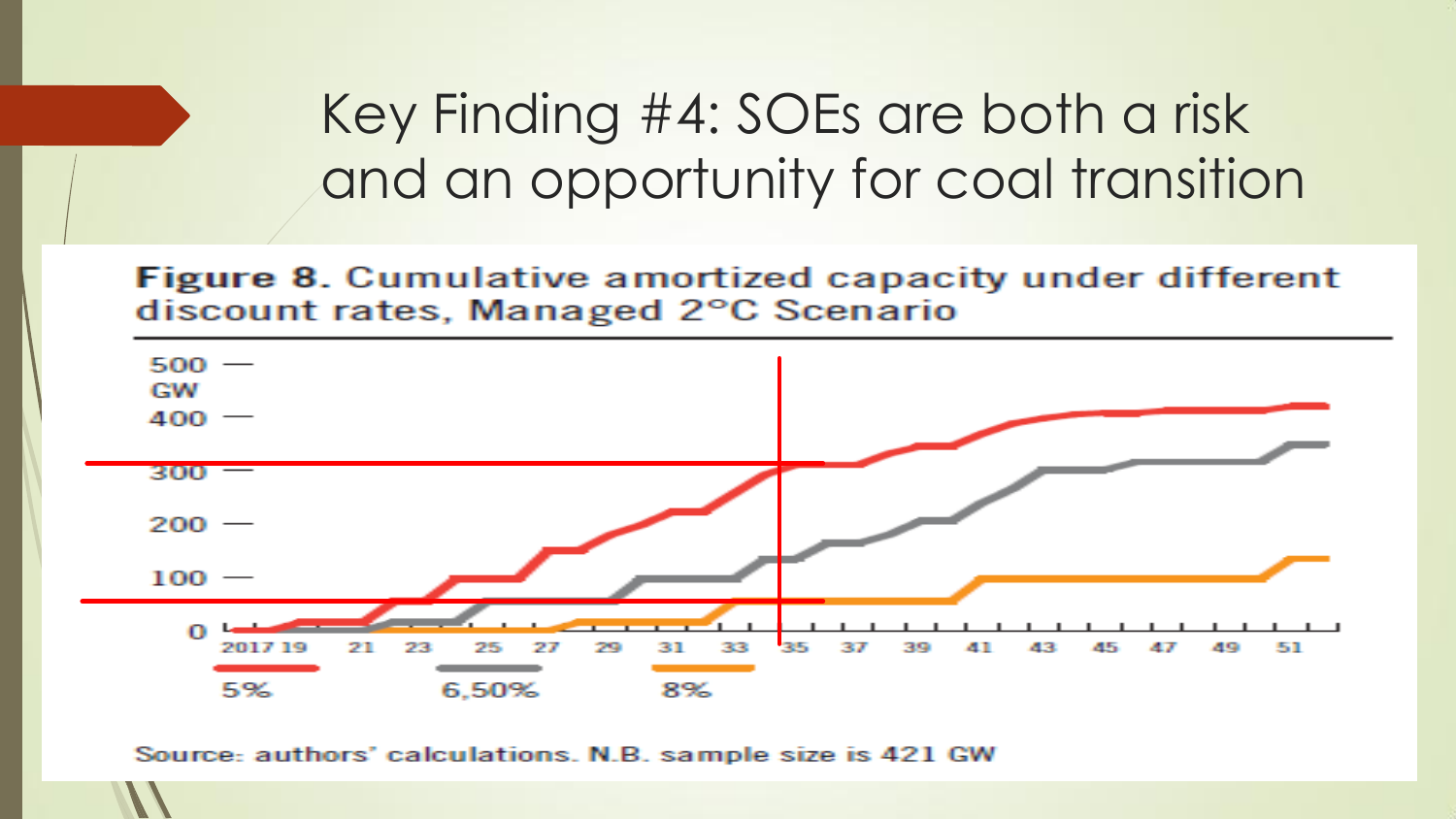## Key Finding #4: SOEs are both a risk and an opportunity for coal transition

Figure 8. Cumulative amortized capacity under different discount rates, Managed 2°C Scenario



Source: authors' calculations, N.B. sample size is 421 GW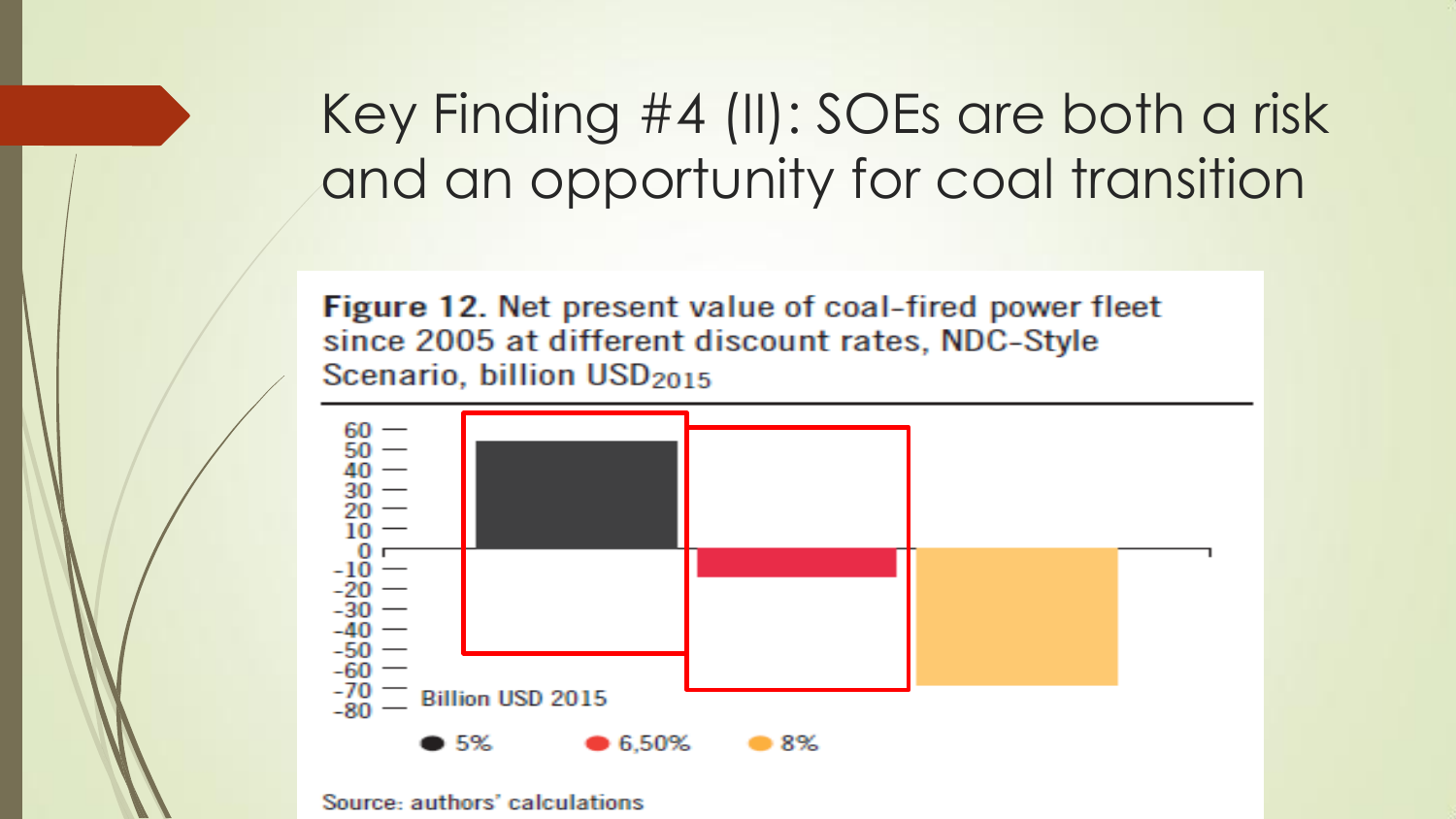#### Key Finding #4 (II): SOEs are both a risk and an opportunity for coal transition

Figure 12. Net present value of coal-fired power fleet since 2005 at different discount rates, NDC-Style Scenario, billion USD<sub>2015</sub>



Source: authors' calculations